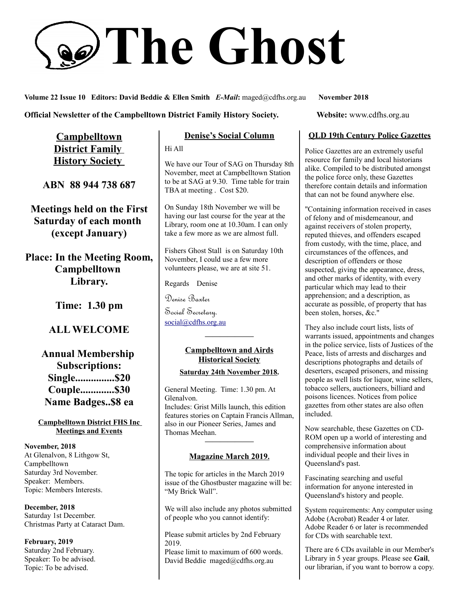# **The Ghost**

**Volume 22 Issue 10 Editors: David Beddie & Ellen Smith** *E-Mail***:** maged@cdfhs.org.au **November 2018**

#### **Official Newsletter of the Campbelltown District Family History Society. Website: www.cdfhs.org.au**

**Campbelltown District Family History Society** 

**ABN 88 944 738 687**

**Meetings held on the First Saturday of each month (except January)**

**Place: In the Meeting Room, Campbelltown Library.**

**Time: 1.30 pm**

## **ALL WELCOME**

**Annual Membership Subscriptions: Single...............\$20 Couple.............\$30 Name Badges..\$8 ea**

#### **Campbelltown District FHS Inc Meetings and Events**

**November, 2018** At Glenalvon, 8 Lithgow St, Campbelltown Saturday 3rd November. Speaker: Members. Topic: Members Interests.

**December, 2018** Saturday 1st December. Christmas Party at Cataract Dam.

**February, 2019** Saturday 2nd February. Speaker: To be advised. Topic: To be advised.

## **Denise's Social Column**

Hi All

We have our Tour of SAG on Thursday 8th November, meet at Campbelltown Station to be at SAG at 9.30. Time table for train TBA at meeting . Cost \$20.

On Sunday 18th November we will be having our last course for the year at the Library, room one at 10.30am. I can only take a few more as we are almost full.

Fishers Ghost Stall is on Saturday 10th November, I could use a few more volunteers please, we are at site 51.

Regards Denise

Denise Baxter

Social Secretary. [social@cdfhs.org.au](mailto:social@cdfhs.org.au)

#### **Campbelltown and Airds Historical Society**

**——————–**

#### **Saturday 24th November 2018.**

General Meeting. Time: 1.30 pm. At Glenalvon. Includes: Grist Mills launch, this edition features stories on Captain Francis Allman, also in our Pioneer Series, James and Thomas Meehan.

# **——————– Magazine March 2019 .**

The topic for articles in the March 2019 issue of the Ghostbuster magazine will be: "My Brick Wall".

We will also include any photos submitted of people who you cannot identify:

Please submit articles by 2nd February 2019.

Please limit to maximum of 600 words. David Beddie maged@cdfhs.org.au

#### **QLD 19th Century Police Gazettes**

Police Gazettes are an extremely useful resource for family and local historians alike. Compiled to be distributed amongst the police force only, these Gazettes therefore contain details and information that can not be found anywhere else.

"Containing information received in cases of felony and of misdemeanour, and against receivers of stolen property, reputed thieves, and offenders escaped from custody, with the time, place, and circumstances of the offences, and description of offenders or those suspected, giving the appearance, dress, and other marks of identity, with every particular which may lead to their apprehension; and a description, as accurate as possible, of property that has been stolen, horses, &c."

They also include court lists, lists of warrants issued, appointments and changes in the police service, lists of Justices of the Peace, lists of arrests and discharges and descriptions photographs and details of deserters, escaped prisoners, and missing people as well lists for liquor, wine sellers, tobacco sellers, auctioneers, billiard and poisons licences. Notices from police gazettes from other states are also often included.

Now searchable, these Gazettes on CD-ROM open up a world of interesting and comprehensive information about individual people and their lives in Queensland's past.

Fascinating searching and useful information for anyone interested in Queensland's history and people.

System requirements: Any computer using Adobe (Acrobat) Reader 4 or later. Adobe Reader 6 or later is recommended for CDs with searchable text.

There are 6 CDs available in our Member's Library in 5 year groups. Please see **Gail**, our librarian, if you want to borrow a copy.